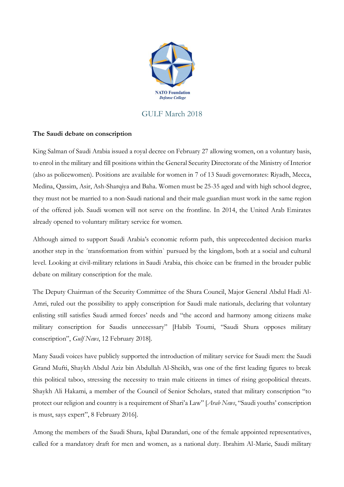

## GULF March 2018

## **The Saudi debate on conscription**

King Salman of Saudi Arabia issued a royal decree on February 27 allowing women, on a voluntary basis, to enrol in the military and fill positions within the General Security Directorate of the Ministry of Interior (also as policewomen). Positions are available for women in 7 of 13 Saudi governorates: Riyadh, Mecca, Medina, Qassim, Asir, Ash-Sharqiya and Baha. Women must be 25-35 aged and with high school degree, they must not be married to a non-Saudi national and their male guardian must work in the same region of the offered job. Saudi women will not serve on the frontline. In 2014, the United Arab Emirates already opened to voluntary military service for women.

Although aimed to support Saudi Arabia's economic reform path, this unprecedented decision marks another step in the ´transformation from within` pursued by the kingdom, both at a social and cultural level. Looking at civil-military relations in Saudi Arabia, this choice can be framed in the broader public debate on military conscription for the male.

The Deputy Chairman of the Security Committee of the Shura Council, Major General Abdul Hadi Al-Amri, ruled out the possibility to apply conscription for Saudi male nationals, declaring that voluntary enlisting still satisfies Saudi armed forces' needs and "the accord and harmony among citizens make military conscription for Saudis unnecessary" [Habib Toumi, "Saudi Shura opposes military conscription", *Gulf News*, 12 February 2018].

Many Saudi voices have publicly supported the introduction of military service for Saudi men: the Saudi Grand Mufti, Shaykh Abdul Aziz bin Abdullah Al-Sheikh, was one of the first leading figures to break this political taboo, stressing the necessity to train male citizens in times of rising geopolitical threats. Shaykh Ali Hakami, a member of the Council of Senior Scholars, stated that military conscription "to protect our religion and country is a requirement of Shari'a Law" [*Arab News*, "Saudi youths' conscription is must, says expert", 8 February 2016].

Among the members of the Saudi Shura, Iqbal Darandari, one of the female appointed representatives, called for a mandatory draft for men and women, as a national duty. Ibrahim Al-Marie, Saudi military